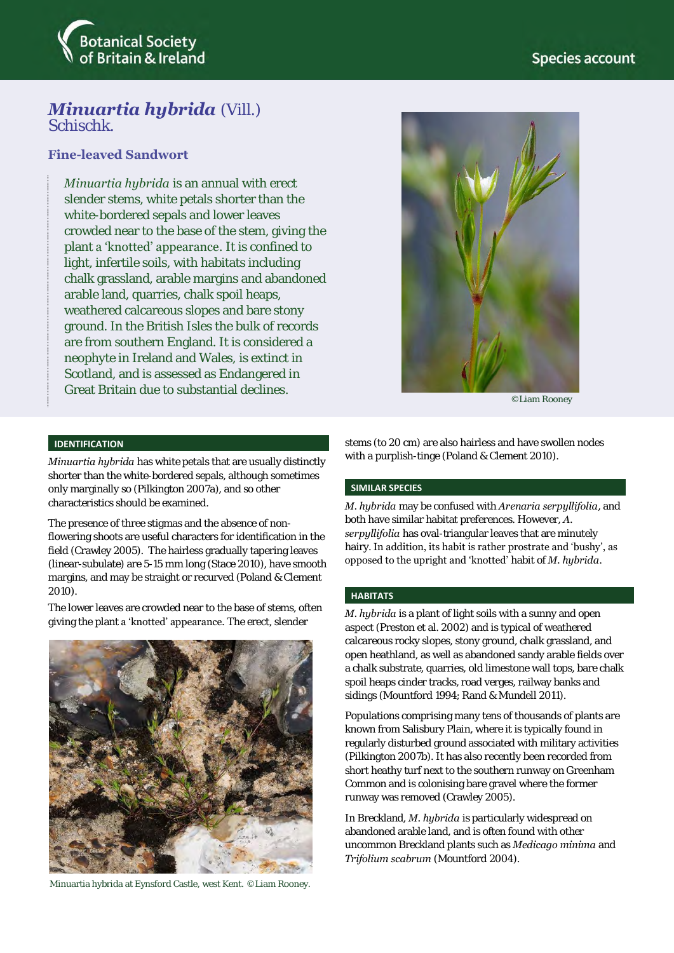

## *Minuartia hybrida* (Vill.) Schischk.

## **Fine-leaved Sandwort**

*Minuartia hybrida* is an annual with erect slender stems, white petals shorter than the white-bordered sepals and lower leaves crowded near to the base of the stem, giving the plant a 'knotted' appearance. It is confined to light, infertile soils, with habitats including chalk grassland, arable margins and abandoned arable land, quarries, chalk spoil heaps, weathered calcareous slopes and bare stony ground. In the British Isles the bulk of records are from southern England. It is considered a neophyte in Ireland and Wales, is extinct in Scotland, and is assessed as Endangered in Great Britain due to substantial declines.



©Liam Rooney

## **IDENTIFICATION**

*Minuartia hybrida* has white petals that are usually distinctly shorter than the white-bordered sepals, although sometimes only marginally so (Pilkington 2007a), and so other characteristics should be examined.

The presence of three stigmas and the absence of nonflowering shoots are useful characters for identification in the field (Crawley 2005). The hairless gradually tapering leaves (linear-subulate) are 5-15 mm long (Stace 2010), have smooth margins, and may be straight or recurved (Poland & Clement 2010).

The lower leaves are crowded near to the base of stems, often giving the plant a 'knotted' appearance. The erect, slender



Minuartia hybrida at Eynsford Castle, west Kent. ©Liam Rooney.

stems (to 20 cm) are also hairless and have swollen nodes with a purplish-tinge (Poland & Clement 2010).

#### **SIMILAR SPECIES**

*M. hybrida* may be confused with *Arenaria serpyllifolia*, and both have similar habitat preferences. However, *A. serpyllifolia* has oval-triangular leaves that are minutely hairy. In addition, its habit is rather prostrate and 'bushy', as opposed to the upright and 'knotted' habit of *M. hybrida*.

### **HABITATS**

*M. hybrida* is a plant of light soils with a sunny and open aspect (Preston et al. 2002) and is typical of weathered calcareous rocky slopes, stony ground, chalk grassland, and open heathland, as well as abandoned sandy arable fields over a chalk substrate, quarries, old limestone wall tops, bare chalk spoil heaps cinder tracks, road verges, railway banks and sidings (Mountford 1994; Rand & Mundell 2011).

Populations comprising many tens of thousands of plants are known from Salisbury Plain, where it is typically found in regularly disturbed ground associated with military activities (Pilkington 2007b). It has also recently been recorded from short heathy turf next to the southern runway on Greenham Common and is colonising bare gravel where the former runway was removed (Crawley 2005).

In Breckland, *M. hybrida* is particularly widespread on abandoned arable land, and is often found with other uncommon Breckland plants such as *Medicago minima* and *Trifolium scabrum* (Mountford 2004).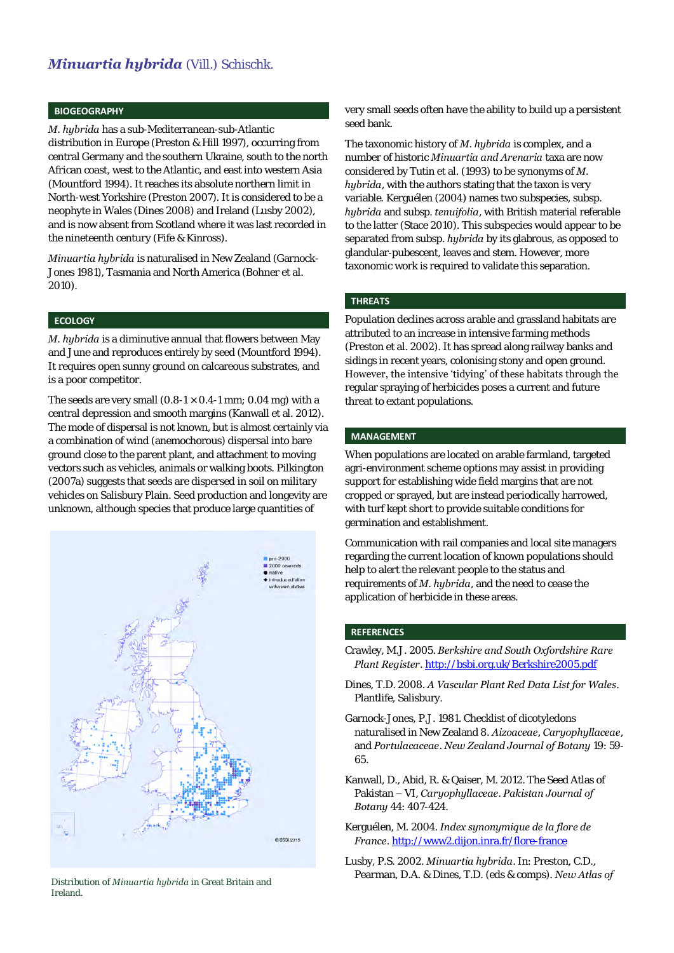## *Minuartia hybrida* (Vill.) Schischk.

#### **BIOGEOGRAPHY**

*M. hybrida* has a sub-Mediterranean-sub-Atlantic distribution in Europe (Preston & Hill 1997), occurring from central Germany and the southern Ukraine, south to the north African coast, west to the Atlantic, and east into western Asia (Mountford 1994). It reaches its absolute northern limit in North-west Yorkshire (Preston 2007). It is considered to be a neophyte in Wales (Dines 2008) and Ireland (Lusby 2002), and is now absent from Scotland where it was last recorded in the nineteenth century (Fife & Kinross).

*Minuartia hybrida* is naturalised in New Zealand (Garnock-Jones 1981), Tasmania and North America (Bohner et al. 2010).

### **ECOLOGY**

*M. hybrida* is a diminutive annual that flowers between May and June and reproduces entirely by seed (Mountford 1994). It requires open sunny ground on calcareous substrates, and is a poor competitor.

The seeds are very small  $(0.8-1 \times 0.4-1 \text{ mm})$ : 0.04 mg) with a central depression and smooth margins (Kanwall et al. 2012). The mode of dispersal is not known, but is almost certainly via a combination of wind (anemochorous) dispersal into bare ground close to the parent plant, and attachment to moving vectors such as vehicles, animals or walking boots. Pilkington (2007a) suggests that seeds are dispersed in soil on military vehicles on Salisbury Plain. Seed production and longevity are unknown, although species that produce large quantities of



Distribution of *Minuartia hybrida* in Great Britain and Ireland.

very small seeds often have the ability to build up a persistent seed bank.

The taxonomic history of *M. hybrida* is complex, and a number of historic *Minuartia and Arenaria* taxa are now considered by Tutin et al. (1993) to be synonyms of *M. hybrida*, with the authors stating that the taxon is very variable*.* Kerguélen (2004) names two subspecies, subsp. *hybrida* and subsp. *tenuifolia*, with British material referable to the latter (Stace 2010). This subspecies would appear to be separated from subsp. *hybrida* by its glabrous, as opposed to glandular-pubescent, leaves and stem. However, more taxonomic work is required to validate this separation.

#### **THREATS**

Population declines across arable and grassland habitats are attributed to an increase in intensive farming methods (Preston et al. 2002). It has spread along railway banks and sidings in recent years, colonising stony and open ground. However, the intensive 'tidying' of these habitats through the regular spraying of herbicides poses a current and future threat to extant populations.

#### **MANAGEMENT**

When populations are located on arable farmland, targeted agri-environment scheme options may assist in providing support for establishing wide field margins that are not cropped or sprayed, but are instead periodically harrowed, with turf kept short to provide suitable conditions for germination and establishment.

Communication with rail companies and local site managers regarding the current location of known populations should help to alert the relevant people to the status and requirements of *M. hybrida*, and the need to cease the application of herbicide in these areas.

#### **REFERENCES**

- Crawley, M.J. 2005. *Berkshire and South Oxfordshire Rare Plant Register*[. http://bsbi.org.uk/Berkshire2005.pdf](http://bsbi.org.uk/Berkshire2005.pdf)
- Dines, T.D. 2008. *A Vascular Plant Red Data List for Wales*. Plantlife, Salisbury.
- Garnock-Jones, P.J. 1981. Checklist of dicotyledons naturalised in New Zealand 8. *Aizoaceae*, *Caryophyllaceae*, and *Portulacaceae*. *New Zealand Journal of Botany* 19: 59- 65.
- Kanwall, D., Abid, R. & Qaiser, M. 2012. The Seed Atlas of Pakistan – VI, *Caryophyllaceae*. *Pakistan Journal of Botany* 44: 407-424.
- Kerguélen, M. 2004. *Index synonymique de la flore de France*[. http://www2.dijon.inra.fr/flore-france](http://www2.dijon.inra.fr/flore-france)
- Lusby, P.S. 2002. *Minuartia hybrida*. In: Preston, C.D., Pearman, D.A. & Dines, T.D. (eds & comps). *New Atlas of*